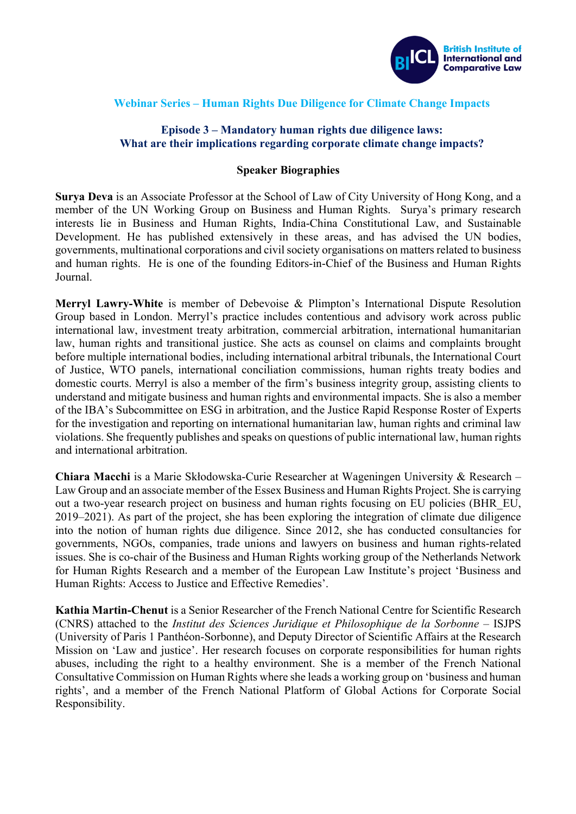

## **Webinar Series – Human Rights Due Diligence for Climate Change Impacts**

## **Episode 3 – Mandatory human rights due diligence laws: What are their implications regarding corporate climate change impacts?**

## **Speaker Biographies**

**Surya Deva** is an Associate Professor at the School of Law of City University of Hong Kong, and a member of the UN Working Group on Business and Human Rights. Surya's primary research interests lie in Business and Human Rights, India-China Constitutional Law, and Sustainable Development. He has published extensively in these areas, and has advised the UN bodies, governments, multinational corporations and civil society organisations on matters related to business and human rights. He is one of the founding Editors-in-Chief of the Business and Human Rights Journal.

**Merryl Lawry-White** is member of Debevoise & Plimpton's International Dispute Resolution Group based in London. Merryl's practice includes contentious and advisory work across public international law, investment treaty arbitration, commercial arbitration, international humanitarian law, human rights and transitional justice. She acts as counsel on claims and complaints brought before multiple international bodies, including international arbitral tribunals, the International Court of Justice, WTO panels, international conciliation commissions, human rights treaty bodies and domestic courts. Merryl is also a member of the firm's business integrity group, assisting clients to understand and mitigate business and human rights and environmental impacts. She is also a member of the IBA's Subcommittee on ESG in arbitration, and the Justice Rapid Response Roster of Experts for the investigation and reporting on international humanitarian law, human rights and criminal law violations. She frequently publishes and speaks on questions of public international law, human rights and international arbitration.

**Chiara Macchi** is a Marie Skłodowska-Curie Researcher at Wageningen University & Research – Law Group and an associate member of the Essex Business and Human Rights Project. She is carrying out a two-year research project on business and human rights focusing on EU policies (BHR\_EU, 2019–2021). As part of the project, she has been exploring the integration of climate due diligence into the notion of human rights due diligence. Since 2012, she has conducted consultancies for governments, NGOs, companies, trade unions and lawyers on business and human rights-related issues. She is co-chair of the Business and Human Rights working group of the Netherlands Network for Human Rights Research and a member of the European Law Institute's project 'Business and Human Rights: Access to Justice and Effective Remedies'.

**Kathia Martin-Chenut** is a Senior Researcher of the French National Centre for Scientific Research (CNRS) attached to the *Institut des Sciences Juridique et Philosophique de la Sorbonne* – ISJPS (University of Paris 1 Panthéon-Sorbonne), and Deputy Director of Scientific Affairs at the Research Mission on 'Law and justice'. Her research focuses on corporate responsibilities for human rights abuses, including the right to a healthy environment. She is a member of the French National Consultative Commission on Human Rights where she leads a working group on 'business and human rights', and a member of the French National Platform of Global Actions for Corporate Social Responsibility.